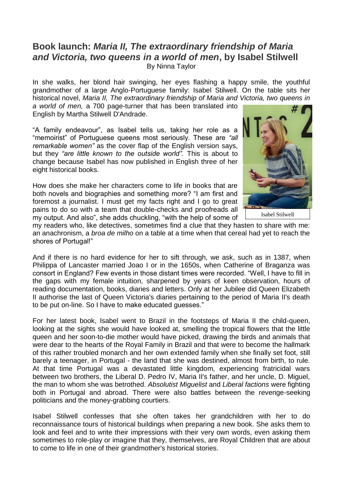## **Book launch:** *Maria II, The extraordinary friendship of Maria and Victoria, two queens in a world of men***, by Isabel Stilwell** By Ninna Taylor

In she walks, her blond hair swinging, her eyes flashing a happy smile, the youthful grandmother of a large Anglo-Portuguese family: Isabel Stilwell. On the table sits her historical novel, *Maria II, The extraordinary friendship of Maria and Victoria, two queens in* 

*a world of men,* a 700 page-turner that has been translated into English by Martha Stilwell D'Andrade.

"A family endeavour", as Isabel tells us, taking her role as a "memoirist" of Portuguese queens most seriously. These are *"all remarkable women"* as the cover flap of the English version says, but they *"are little known to the outside world".* This is about to change because Isabel has now published in English three of her eight historical books.

How does she make her characters come to life in books that are both novels and biographies and something more? "I am first and foremost a journalist. I must get my facts right and I go to great pains to do so with a team that double-checks and proofreads all my output. And also", she adds chuckling, "with the help of some of



Isabel Stilwell

my readers who, like detectives, sometimes find a clue that they hasten to share with me: an anachronism, a *broa de milho* on a table at a time when that cereal had yet to reach the shores of Portugal!"

And if there is no hard evidence for her to sift through, we ask, such as in 1387, when Philippa of Lancaster married Joao I or in the 1650s, when Catherine of Braganza was consort in England? Few events in those distant times were recorded. "Well, I have to fill in the gaps with my female intuition, sharpened by years of keen observation, hours of reading documentation, books, diaries and letters. Only at her Jubilee did Queen Elizabeth II authorise the last of Queen Victoria's diaries pertaining to the period of Maria II's death to be put on-line. So I have to make educated guesses."

For her latest book, Isabel went to Brazil in the footsteps of Maria II the child-queen, looking at the sights she would have looked at, smelling the tropical flowers that the little queen and her soon-to-die mother would have picked, drawing the birds and animals that were dear to the hearts of the Royal Family in Brazil and that were to become the hallmark of this rather troubled monarch and her own extended family when she finally set foot, still barely a teenager, in Portugal - the land that she was destined, almost from birth, to rule. At that time Portugal was a devastated little kingdom, experiencing fratricidal wars between two brothers, the Liberal D. Pedro IV, Maria II's father, and her uncle, D. Miguel, the man to whom she was betrothed. *Absolutist Miguelist* and *Liberal factions* were fighting both in Portugal and abroad. There were also battles between the revenge-seeking politicians and the money-grabbing courtiers.

Isabel Stilwell confesses that she often takes her grandchildren with her to do reconnaissance tours of historical buildings when preparing a new book. She asks them to look and feel and to write their impressions with their very own words, even asking them sometimes to role-play or imagine that they, themselves, are Royal Children that are about to come to life in one of their grandmother's historical stories.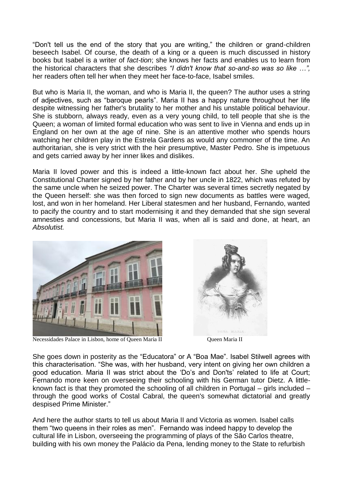"Don't tell us the end of the story that you are writing," the children or grand-children beseech Isabel. Of course, the death of a king or a queen is much discussed in history books but Isabel is a writer of *fact-tion*; she knows her facts and enables us to learn from the historical characters that she describes *"I didn't know that so-and-so was so like …",*  her readers often tell her when they meet her face-to-face, Isabel smiles.

But who is Maria II, the woman, and who is Maria II, the queen? The author uses a string of adjectives, such as "baroque pearls". Maria II has a happy nature throughout her life despite witnessing her father's brutality to her mother and his unstable political behaviour. She is stubborn, always ready, even as a very young child, to tell people that she is the Queen; a woman of limited formal education who was sent to live in Vienna and ends up in England on her own at the age of nine. She is an attentive mother who spends hours watching her children play in the Estrela Gardens as would any commoner of the time. An authoritarian, she is very strict with the heir presumptive, Master Pedro. She is impetuous and gets carried away by her inner likes and dislikes.

Maria II loved power and this is indeed a little-known fact about her. She upheld the Constitutional Charter signed by her father and by her uncle in 1822, which was refuted by the same uncle when he seized power. The Charter was several times secretly negated by the Queen herself: she was then forced to sign new documents as battles were waged, lost, and won in her homeland. Her Liberal statesmen and her husband, Fernando, wanted to pacify the country and to start modernising it and they demanded that she sign several amnesties and concessions, but Maria II was, when all is said and done, at heart, an *Absolutist.*



 $\overline{\phantom{a}}$ Necessidades Palace in Lisbon, home of Queen Maria II Queen Maria II



She goes down in posterity as the "Educatora" or A "Boa Mae". Isabel Stilwell agrees with this characterisation. "She was, with her husband, very intent on giving her own children a good education. Maria II was strict about the 'Do's and Don'ts' related to life at Court; Fernando more keen on overseeing their schooling with his German tutor Dietz. A littleknown fact is that they promoted the schooling of all children in Portugal – girls included – through the good works of Costal Cabral, the queen's somewhat dictatorial and greatly despised Prime Minister."

And here the author starts to tell us about Maria II and Victoria as women. Isabel calls them "two queens in their roles as men". Fernando was indeed happy to develop the cultural life in Lisbon, overseeing the programming of plays of the São Carlos theatre, building with his own money the [Palácio](https://www.parquesdesintra.pt/parques-jardins-e-monumentos/parque-e-palacio-nacional-da-pena/descricao/) da Pena, lending money to the State to refurbish